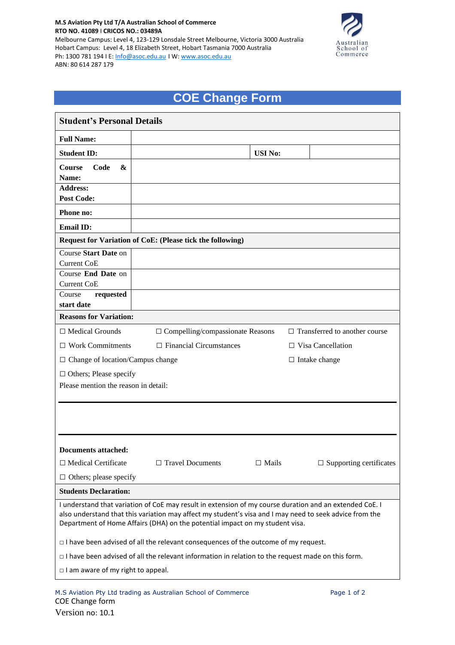## **M.S Aviation Pty Ltd T/A Australian School of Commerce RTO NO. 41089** I **CRICOS NO.: 03489A** Melbourne Campus: Level 4, 123-129 Lonsdale Street Melbourne, Victoria 3000 Australia Hobart Campus: Level 4, 18 Elizabeth Street, Hobart Tasmania 7000 Australia Ph: 1300 781 194 I E: [Info@asoc.edu.au](mailto:Info@asoc.edu.au) I W: [www.asoc.edu.au](http://www.asoc.edu.au/) ABN: 80 614 287 179



## **COE Change Form**

| <b>Student's Personal Details</b>                                                                                                                                                                                                                                                                  |                                                                                                          |                |                                      |  |  |  |  |
|----------------------------------------------------------------------------------------------------------------------------------------------------------------------------------------------------------------------------------------------------------------------------------------------------|----------------------------------------------------------------------------------------------------------|----------------|--------------------------------------|--|--|--|--|
| <b>Full Name:</b>                                                                                                                                                                                                                                                                                  |                                                                                                          |                |                                      |  |  |  |  |
| <b>Student ID:</b>                                                                                                                                                                                                                                                                                 |                                                                                                          | <b>USI No:</b> |                                      |  |  |  |  |
| Code<br>&<br><b>Course</b>                                                                                                                                                                                                                                                                         |                                                                                                          |                |                                      |  |  |  |  |
| Name:                                                                                                                                                                                                                                                                                              |                                                                                                          |                |                                      |  |  |  |  |
| <b>Address:</b>                                                                                                                                                                                                                                                                                    |                                                                                                          |                |                                      |  |  |  |  |
| Post Code:                                                                                                                                                                                                                                                                                         |                                                                                                          |                |                                      |  |  |  |  |
| Phone no:                                                                                                                                                                                                                                                                                          |                                                                                                          |                |                                      |  |  |  |  |
| <b>Email ID:</b>                                                                                                                                                                                                                                                                                   |                                                                                                          |                |                                      |  |  |  |  |
|                                                                                                                                                                                                                                                                                                    | Request for Variation of CoE: (Please tick the following)                                                |                |                                      |  |  |  |  |
| Course Start Date on                                                                                                                                                                                                                                                                               |                                                                                                          |                |                                      |  |  |  |  |
| <b>Current CoE</b>                                                                                                                                                                                                                                                                                 |                                                                                                          |                |                                      |  |  |  |  |
| Course End Date on                                                                                                                                                                                                                                                                                 |                                                                                                          |                |                                      |  |  |  |  |
| <b>Current CoE</b><br>Course                                                                                                                                                                                                                                                                       |                                                                                                          |                |                                      |  |  |  |  |
| requested<br>start date                                                                                                                                                                                                                                                                            |                                                                                                          |                |                                      |  |  |  |  |
| <b>Reasons for Variation:</b>                                                                                                                                                                                                                                                                      |                                                                                                          |                |                                      |  |  |  |  |
|                                                                                                                                                                                                                                                                                                    |                                                                                                          |                |                                      |  |  |  |  |
| $\Box$ Medical Grounds                                                                                                                                                                                                                                                                             | $\Box$ Compelling/compassionate Reasons                                                                  |                | $\Box$ Transferred to another course |  |  |  |  |
| $\Box$ Work Commitments                                                                                                                                                                                                                                                                            | $\Box$ Financial Circumstances                                                                           |                | $\Box$ Visa Cancellation             |  |  |  |  |
|                                                                                                                                                                                                                                                                                                    | $\Box$ Change of location/Campus change<br>$\Box$ Intake change                                          |                |                                      |  |  |  |  |
| $\Box$ Others; Please specify                                                                                                                                                                                                                                                                      |                                                                                                          |                |                                      |  |  |  |  |
| Please mention the reason in detail:                                                                                                                                                                                                                                                               |                                                                                                          |                |                                      |  |  |  |  |
|                                                                                                                                                                                                                                                                                                    |                                                                                                          |                |                                      |  |  |  |  |
|                                                                                                                                                                                                                                                                                                    |                                                                                                          |                |                                      |  |  |  |  |
|                                                                                                                                                                                                                                                                                                    |                                                                                                          |                |                                      |  |  |  |  |
|                                                                                                                                                                                                                                                                                                    |                                                                                                          |                |                                      |  |  |  |  |
| Documents attached:                                                                                                                                                                                                                                                                                |                                                                                                          |                |                                      |  |  |  |  |
| $\Box$ Medical Certificate                                                                                                                                                                                                                                                                         | $\Box$ Travel Documents                                                                                  | $\Box$ Mails   | $\Box$ Supporting certificates       |  |  |  |  |
| $\Box$ Others; please specify                                                                                                                                                                                                                                                                      |                                                                                                          |                |                                      |  |  |  |  |
| <b>Students Declaration:</b>                                                                                                                                                                                                                                                                       |                                                                                                          |                |                                      |  |  |  |  |
| I understand that variation of CoE may result in extension of my course duration and an extended CoE. I<br>also understand that this variation may affect my student's visa and I may need to seek advice from the<br>Department of Home Affairs (DHA) on the potential impact on my student visa. |                                                                                                          |                |                                      |  |  |  |  |
| $\Box$ I have been advised of all the relevant consequences of the outcome of my request.                                                                                                                                                                                                          |                                                                                                          |                |                                      |  |  |  |  |
|                                                                                                                                                                                                                                                                                                    | $\Box$ I have been advised of all the relevant information in relation to the request made on this form. |                |                                      |  |  |  |  |
| $\Box$ I am aware of my right to appeal.                                                                                                                                                                                                                                                           |                                                                                                          |                |                                      |  |  |  |  |